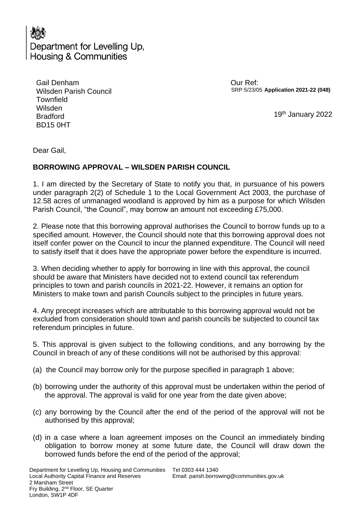

| Gail Denham            |
|------------------------|
| Wilsden Parish Council |
| <b>Townfield</b>       |
| Wilsden                |
| <b>Bradford</b>        |
| <b>BD15 0HT</b>        |

 Our Ref: SRP 5/23/05 **Application 2021-22 (048)**

19th January 2022

Dear Gail,

## **BORROWING APPROVAL – WILSDEN PARISH COUNCIL**

1. I am directed by the Secretary of State to notify you that, in pursuance of his powers under paragraph 2(2) of Schedule 1 to the Local Government Act 2003, the purchase of 12.58 acres of unmanaged woodland is approved by him as a purpose for which Wilsden Parish Council, "the Council", may borrow an amount not exceeding £75,000.

2. Please note that this borrowing approval authorises the Council to borrow funds up to a specified amount. However, the Council should note that this borrowing approval does not itself confer power on the Council to incur the planned expenditure. The Council will need to satisfy itself that it does have the appropriate power before the expenditure is incurred.

3. When deciding whether to apply for borrowing in line with this approval, the council should be aware that Ministers have decided not to extend council tax referendum principles to town and parish councils in 2021-22. However, it remains an option for Ministers to make town and parish Councils subject to the principles in future years.

4. Any precept increases which are attributable to this borrowing approval would not be excluded from consideration should town and parish councils be subjected to council tax referendum principles in future.

5. This approval is given subject to the following conditions, and any borrowing by the Council in breach of any of these conditions will not be authorised by this approval:

- (a) the Council may borrow only for the purpose specified in paragraph 1 above;
- (b) borrowing under the authority of this approval must be undertaken within the period of the approval. The approval is valid for one year from the date given above;
- (c) any borrowing by the Council after the end of the period of the approval will not be authorised by this approval;
- (d) in a case where a loan agreement imposes on the Council an immediately binding obligation to borrow money at some future date, the Council will draw down the borrowed funds before the end of the period of the approval;